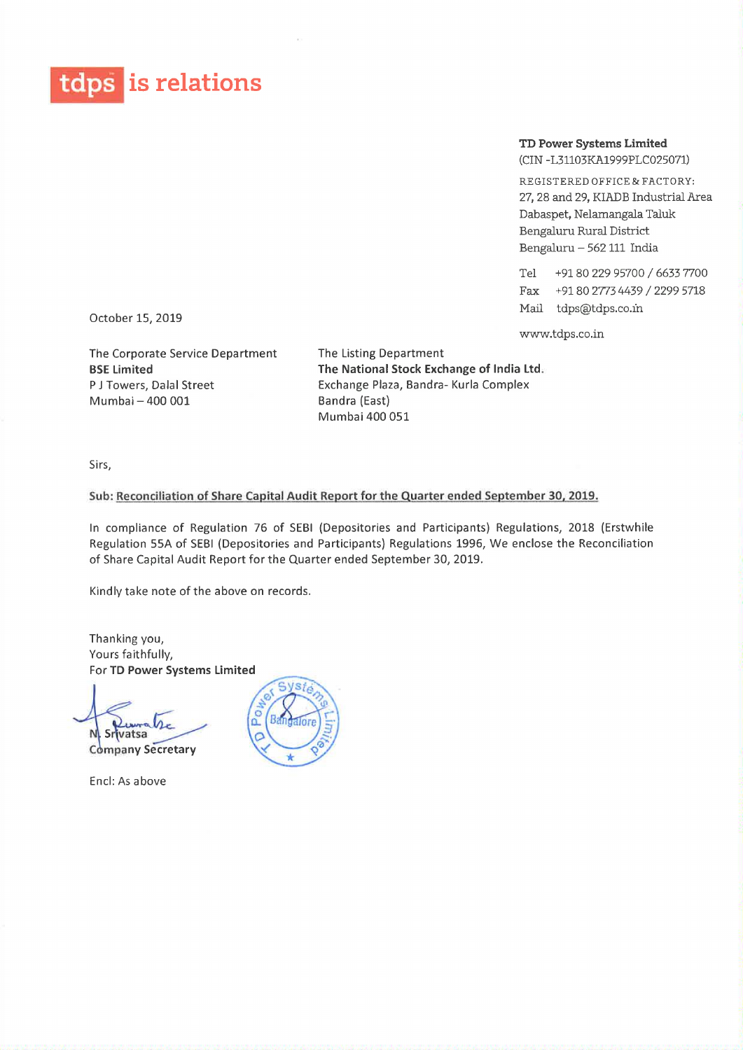## tdps is relations

## TD Power Systems Limited

(CIN —L31103KA1999PLC025071)

REGISTERED OFFICE & FACTORY: 27, 28 and 29, KIADB Industrial Area Dabaspet, Nelamangala Taluk Bengaluru Rural District Bengaluru — 562 111 India

Tel +91 <sup>80</sup> <sup>229</sup> <sup>95700</sup> / <sup>6633</sup> <sup>7700</sup> Fax +91 <sup>80</sup> <sup>2773</sup> <sup>4439</sup> / <sup>2299</sup> <sup>5718</sup> Mail tdps@tdps.co.in

WWW.tdps.co.in

October 15, 2019

The Corporate Service Department<br> **The Listing Department**<br> **The National Stock Exchange 1** Mumbai - 400 001

The National Stock Exchange of India Ltd. PJ Towers, Dalal Street Exchange Plaza, Bandra- Kurla Complex Mumbai 400 051

Sirs,

Sub: Reconciliation of Share Capital Audit Report for the Quarter ended September 30. 2019.

In compliance of Regulation 76 of SEBI (Depositories and Participants) Regulations, 2018 (Erstwhile Regulation 55A of SEBI (Depositories and Participants) Regulations 1996, We enclose the Reconciliation of Share Capital Audit Report for the Quarter ended September 30, 2019.

Kindly take note of the above on records.

Thanking you, Yours faithfully, For TD Power Systems Limited

**vatsa** 

**Company Secretary** 

Encl: As above

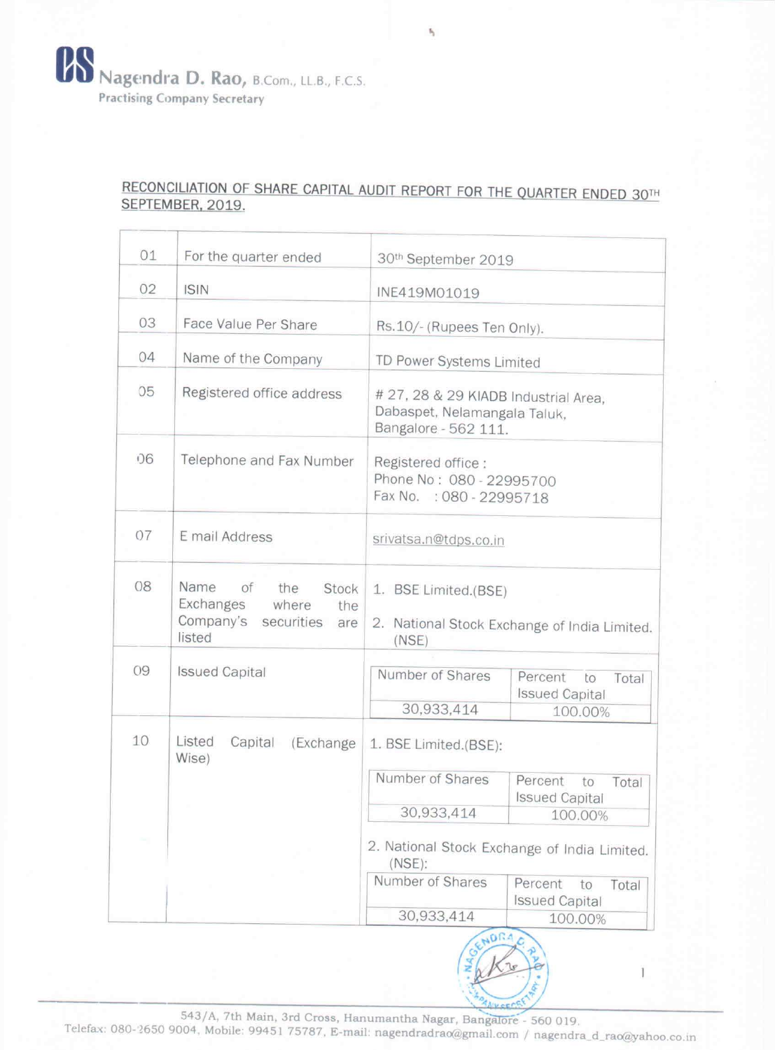

## RECONCILIATION OF SHARE CAPITAL AUDIT REPORT FOR THE QUARTER ENDED 30TH SEPTEMBER, 2019.

| 01 | For the quarter ended                                                                               | 30th September 2019                                                                          |                                                 |  |  |
|----|-----------------------------------------------------------------------------------------------------|----------------------------------------------------------------------------------------------|-------------------------------------------------|--|--|
| 02 | <b>ISIN</b>                                                                                         | INE419M01019                                                                                 |                                                 |  |  |
| 03 | Face Value Per Share                                                                                | Rs.10/- (Rupees Ten Only).                                                                   |                                                 |  |  |
| 04 | Name of the Company                                                                                 | TD Power Systems Limited                                                                     |                                                 |  |  |
| 05 | Registered office address                                                                           | # 27, 28 & 29 KIADB Industrial Area,<br>Dabaspet, Nelamangala Taluk,<br>Bangalore - 562 111. |                                                 |  |  |
| 06 | Telephone and Fax Number                                                                            | Registered office:<br>Phone No: 080 - 22995700<br>Fax No. : 080 - 22995718                   |                                                 |  |  |
| 07 | E mail Address                                                                                      | srivatsa.n@tdps.co.in                                                                        |                                                 |  |  |
| 08 | Name<br>оf<br>Stock<br>the<br>Exchanges<br>where<br>the<br>Company's<br>securities<br>are<br>listed | 1. BSE Limited.(BSE)<br>(NSE)                                                                | 2. National Stock Exchange of India Limited.    |  |  |
| 09 | <b>Issued Capital</b>                                                                               |                                                                                              |                                                 |  |  |
|    |                                                                                                     | Number of Shares                                                                             | Percent<br>Total<br>to<br><b>Issued Capital</b> |  |  |
|    |                                                                                                     | 30,933,414                                                                                   | 100.00%                                         |  |  |
| 10 | Listed<br>Capital<br>Exchange<br>Wise)                                                              | 1. BSE Limited.(BSE):                                                                        |                                                 |  |  |
|    |                                                                                                     | Number of Shares                                                                             | Percent<br>Total<br>to<br><b>Issued Capital</b> |  |  |
|    |                                                                                                     | 30,933,414                                                                                   | 100.00%                                         |  |  |
|    |                                                                                                     |                                                                                              |                                                 |  |  |

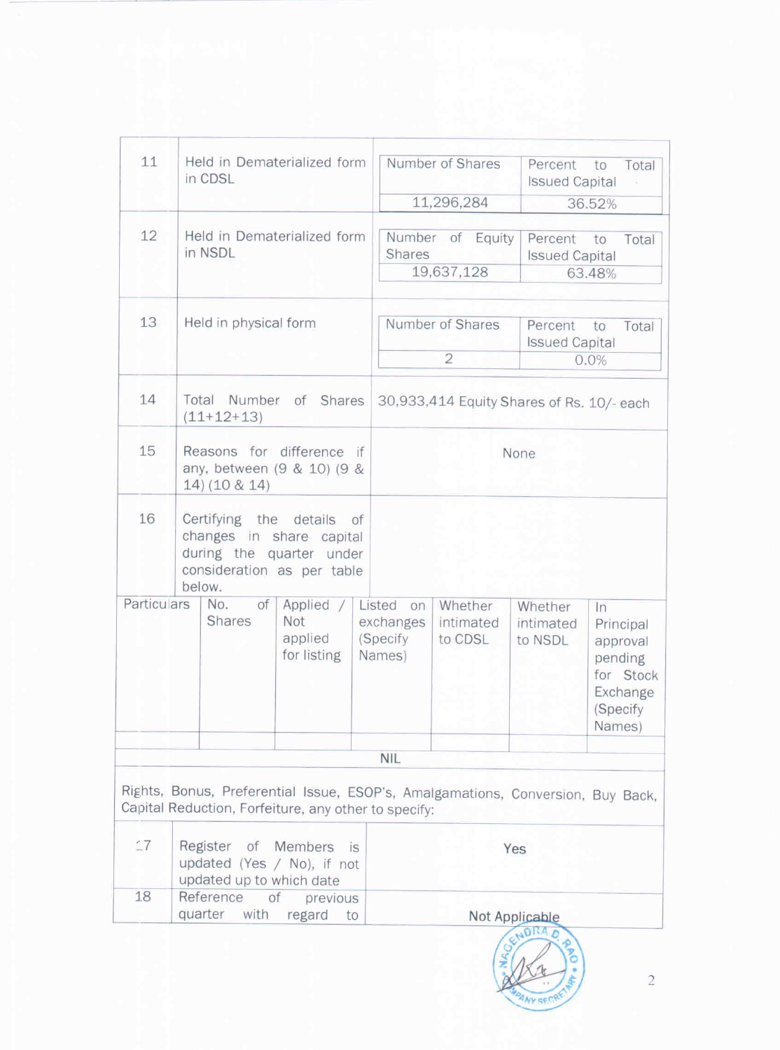| 11                                                                                                                                      |                                                                                                                           |                            |                                          |                  |                                                            |                      |                                  |                                  |              |                                                                       |
|-----------------------------------------------------------------------------------------------------------------------------------------|---------------------------------------------------------------------------------------------------------------------------|----------------------------|------------------------------------------|------------------|------------------------------------------------------------|----------------------|----------------------------------|----------------------------------|--------------|-----------------------------------------------------------------------|
|                                                                                                                                         | Held in Dematerialized form<br>in CDSL                                                                                    |                            |                                          | Number of Shares |                                                            |                      | Percent<br><b>Issued Capital</b> | to                               | Total        |                                                                       |
|                                                                                                                                         |                                                                                                                           |                            |                                          |                  |                                                            | 11,296,284<br>36.52% |                                  |                                  |              |                                                                       |
| 12                                                                                                                                      | Held in Dematerialized form<br>in NSDL                                                                                    |                            |                                          |                  | Number of<br><b>Shares</b>                                 | 19,637,128           | Equity                           | Percent<br><b>Issued Capital</b> | to<br>63.48% | Total                                                                 |
| 13                                                                                                                                      | Held in physical form                                                                                                     |                            |                                          |                  | Number of Shares<br>Percent<br>to<br><b>Issued Capital</b> |                      |                                  | Total                            |              |                                                                       |
|                                                                                                                                         |                                                                                                                           |                            |                                          |                  |                                                            | 2<br>$0.0\%$         |                                  |                                  |              |                                                                       |
| 14                                                                                                                                      | Total Number of Shares<br>$(11+12+13)$                                                                                    |                            |                                          |                  | 30,933,414 Equity Shares of Rs. 10/- each                  |                      |                                  |                                  |              |                                                                       |
| 15                                                                                                                                      | Reasons for difference if<br>any, between (9 & 10) (9 &<br>14) (10 & 14)                                                  |                            |                                          |                  | <b>None</b>                                                |                      |                                  |                                  |              |                                                                       |
| 16                                                                                                                                      | Certifying the details of<br>changes in share capital<br>during the quarter under<br>consideration as per table<br>below. |                            |                                          |                  |                                                            |                      |                                  |                                  |              |                                                                       |
| Particulars                                                                                                                             |                                                                                                                           | οf<br>No.<br><b>Shares</b> | Applied<br>Not<br>applied<br>for listing |                  | Listed<br>on<br>exchanges<br>(Specify<br>Names)            | Whether<br>to CDSL   | intimated                        | Whether<br>intimated<br>to NSDL  | In<br>Names) | Principal<br>approval<br>pending<br>for Stock<br>Exchange<br>(Specify |
|                                                                                                                                         |                                                                                                                           |                            |                                          |                  | <b>NIL</b>                                                 |                      |                                  |                                  |              |                                                                       |
|                                                                                                                                         |                                                                                                                           |                            |                                          |                  |                                                            |                      |                                  |                                  |              |                                                                       |
| Rights, Bonus, Preferential Issue, ESOP's, Amalgamations, Conversion, Buy Back,<br>Capital Reduction, Forfeiture, any other to specify: |                                                                                                                           |                            |                                          |                  |                                                            |                      |                                  |                                  |              |                                                                       |

| $-7$ | Register of Members is<br>updated (Yes / No), if not<br>updated up to which date | Yes            |
|------|----------------------------------------------------------------------------------|----------------|
| 18   | Reference of previous<br>quarter with regard to                                  | Not Applicable |

 $\overline{2}$ 

PANY SECRET